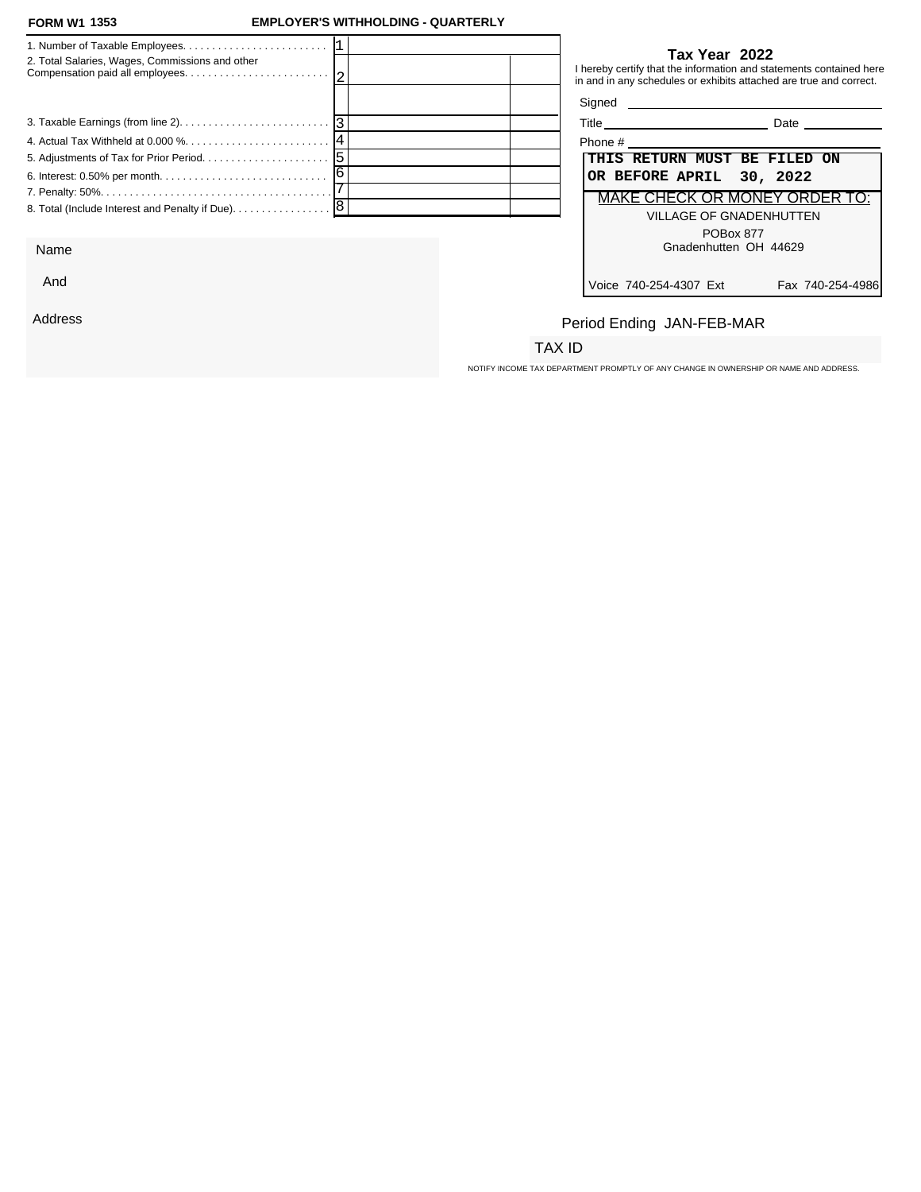#### **FORM W1 1353**

### **FORM W1 EMPLOYER'S WITHHOLDING - QUARTERLY**

| 2. Total Salaries, Wages, Commissions and other |  |                          | Tax Year 2022<br>I hereby certify that the information and statements contained here<br>in and in any schedules or exhibits attached are true and correct. |
|-------------------------------------------------|--|--------------------------|------------------------------------------------------------------------------------------------------------------------------------------------------------|
|                                                 |  | Signed <b>Signed</b>     |                                                                                                                                                            |
|                                                 |  |                          | <b>Date Date</b>                                                                                                                                           |
|                                                 |  |                          |                                                                                                                                                            |
|                                                 |  |                          | THIS RETURN MUST BE FILED ON                                                                                                                               |
|                                                 |  | OR BEFORE APRIL 30, 2022 |                                                                                                                                                            |
|                                                 |  |                          | MAKE CHECK OR MONEY ORDER TO:                                                                                                                              |
|                                                 |  |                          | <b>VILLAGE OF GNADENHUTTEN</b><br>POBox 877                                                                                                                |
| $\sim$                                          |  |                          | $C_{\text{nodophiffon}}$ $\cap$ $\Box$ $\land$ $\land$ $\cap$                                                                                              |

Name

And

Address

### **Tax Year 2022**

| Phone #                                    |
|--------------------------------------------|
| THIS RETURN MUST BE FILED ON               |
| OR BEFORE APRIL 30, 2022                   |
| <b>MAKE CHECK OR MONEY ORDER TO:</b>       |
| <b>VILLAGE OF GNADENHUTTEN</b>             |
| POBox 877                                  |
| Gnadenhutten OH 44629                      |
|                                            |
| Voice 740-254-4307 Ext<br>Fax 740-254-4986 |

## Period Ending JAN-FEB-MAR

### TAX ID

NOTIFY INCOME TAX DEPARTMENT PROMPTLY OF ANY CHANGE IN OWNERSHIP OR NAME AND ADDRESS.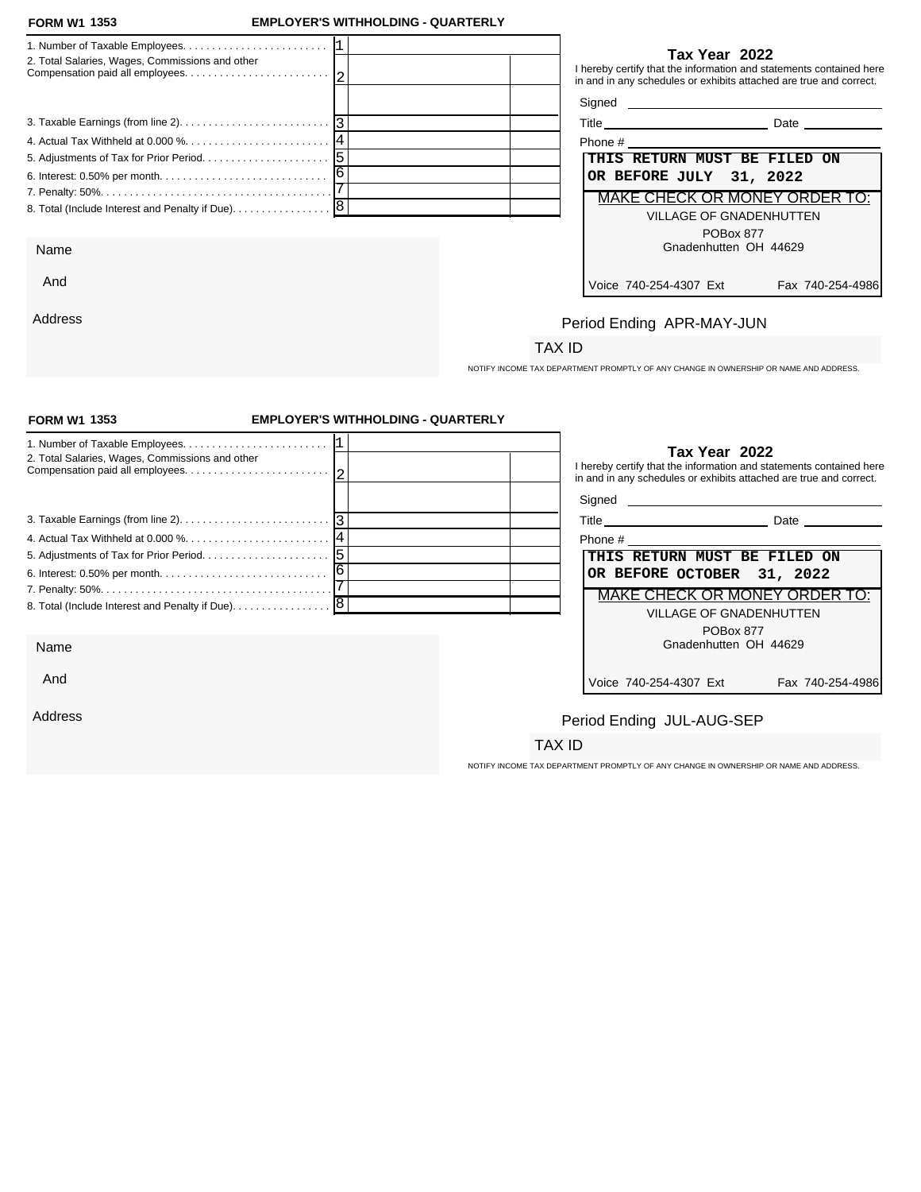#### **FORM W1 1353**

Address

### **FORM W1 EMPLOYER'S WITHHOLDING - QUARTERLY**

| 2. Total Salaries, Wages, Commissions and other |   | I hereby certify tl<br>in and in any sch |
|-------------------------------------------------|---|------------------------------------------|
|                                                 |   | Signed                                   |
|                                                 |   | <b>Title</b>                             |
|                                                 |   | Phone $#$ _______                        |
|                                                 |   | THIS RE                                  |
|                                                 | 6 | OR BEFO                                  |
|                                                 |   | MAKE C                                   |
|                                                 |   |                                          |
| Name                                            |   |                                          |
| And                                             |   | $V$ nice 740-1                           |

**Tax Year 2022**

that the information and statements contained here in and in any schedules or exhibits attached are true and correct.

 $\_$  Date  $\_$ 

| hone #                        |
|-------------------------------|
| THIS RETURN MUST BE FILED ON  |
| OR BEFORE JULY 31, 2022       |
| MAKE CHECK OR MONEY ORDER TO: |
| VILLAGE OF GNADENHUTTEN       |
| <b>POBox 877</b>              |
| Gnadenhutten OH 44629         |
|                               |
|                               |

Voice 740-254-4307 Ext Fax 740-254-4986

# Period Ending APR-MAY-JUN

## TAX ID

NOTIFY INCOME TAX DEPARTMENT PROMPTLY OF ANY CHANGE IN OWNERSHIP OR NAME AND ADDRESS.

| <b>FORM W1 1353</b>                                                                         | <b>EMPLOYER'S WITHHOLDING - QUARTERLY</b> |                                                                                                                                                            |
|---------------------------------------------------------------------------------------------|-------------------------------------------|------------------------------------------------------------------------------------------------------------------------------------------------------------|
| 2. Total Salaries, Wages, Commissions and other                                             |                                           | Tax Year 2022<br>I hereby certify that the information and statements contained here<br>in and in any schedules or exhibits attached are true and correct. |
| 3. Taxable Earnings (from line 2). $\ldots$ . $\ldots$ . $\ldots$ . $\ldots$ . $\ldots$   3 |                                           |                                                                                                                                                            |
|                                                                                             |                                           | THIS RETURN MUST BE FILED ON<br>OR BEFORE OCTOBER 31, 2022                                                                                                 |
|                                                                                             |                                           | MAKE CHECK OR MONEY ORDER TO:<br><b>VILLAGE OF GNADENHUTTEN</b>                                                                                            |
| Name                                                                                        |                                           | POBox 877<br>Gnadenhutten OH 44629                                                                                                                         |
| And                                                                                         |                                           | Voice 740-254-4307 Ext<br>Fax 740-254-4986                                                                                                                 |
| Address                                                                                     |                                           | Period Ending JUL-AUG-SEP                                                                                                                                  |
|                                                                                             |                                           | TAX ID                                                                                                                                                     |

NOTIFY INCOME TAX DEPARTMENT PROMPTLY OF ANY CHANGE IN OWNERSHIP OR NAME AND ADDRESS.